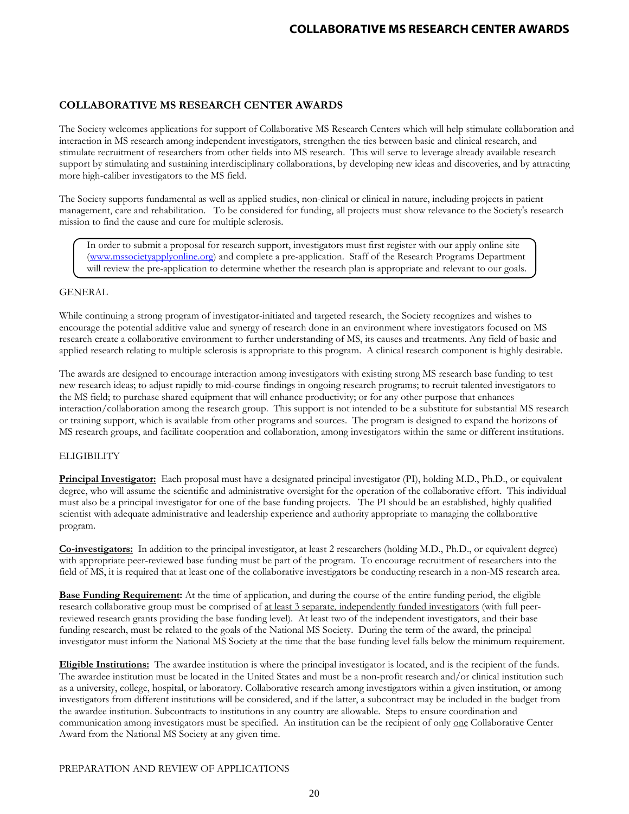The Society welcomes applications for support of Collaborative MS Research Centers which will help stimulate collaboration and interaction in MS research among independent investigators, strengthen the ties between basic and clinical research, and stimulate recruitment of researchers from other fields into MS research. This will serve to leverage already available research support by stimulating and sustaining interdisciplinary collaborations, by developing new ideas and discoveries, and by attracting more high-caliber investigators to the MS field.

The Society supports fundamental as well as applied studies, non-clinical or clinical in nature, including projects in patient management, care and rehabilitation. To be considered for funding, all projects must show relevance to the Society's research mission to find the cause and cure for multiple sclerosis.

In order to submit a proposal for research support, investigators must first register with our apply online site [\(www.mssocietyapplyonline.org\)](http://www.mssocietyapplyonline.org/) and complete a pre-application. Staff of the Research Programs Department will review the pre-application to determine whether the research plan is appropriate and relevant to our goals.

### GENERAL

While continuing a strong program of investigator-initiated and targeted research, the Society recognizes and wishes to encourage the potential additive value and synergy of research done in an environment where investigators focused on MS research create a collaborative environment to further understanding of MS, its causes and treatments. Any field of basic and applied research relating to multiple sclerosis is appropriate to this program. A clinical research component is highly desirable.

The awards are designed to encourage interaction among investigators with existing strong MS research base funding to test new research ideas; to adjust rapidly to mid-course findings in ongoing research programs; to recruit talented investigators to the MS field; to purchase shared equipment that will enhance productivity; or for any other purpose that enhances interaction/collaboration among the research group. This support is not intended to be a substitute for substantial MS research or training support, which is available from other programs and sources. The program is designed to expand the horizons of MS research groups, and facilitate cooperation and collaboration, among investigators within the same or different institutions.

## **ELIGIBILITY**

**Principal Investigator:** Each proposal must have a designated principal investigator (PI), holding M.D., Ph.D., or equivalent degree, who will assume the scientific and administrative oversight for the operation of the collaborative effort. This individual must also be a principal investigator for one of the base funding projects. The PI should be an established, highly qualified scientist with adequate administrative and leadership experience and authority appropriate to managing the collaborative program.

**Co-investigators:** In addition to the principal investigator, at least 2 researchers (holding M.D., Ph.D., or equivalent degree) with appropriate peer-reviewed base funding must be part of the program. To encourage recruitment of researchers into the field of MS, it is required that at least one of the collaborative investigators be conducting research in a non-MS research area.

**Base Funding Requirement:** At the time of application, and during the course of the entire funding period, the eligible research collaborative group must be comprised of <u>at least 3 separate, independently funded investigators</u> (with full peerreviewed research grants providing the base funding level). At least two of the independent investigators, and their base funding research, must be related to the goals of the National MS Society. During the term of the award, the principal investigator must inform the National MS Society at the time that the base funding level falls below the minimum requirement.

**Eligible Institutions:** The awardee institution is where the principal investigator is located, and is the recipient of the funds. The awardee institution must be located in the United States and must be a non-profit research and/or clinical institution such as a university, college, hospital, or laboratory. Collaborative research among investigators within a given institution, or among investigators from different institutions will be considered, and if the latter, a subcontract may be included in the budget from the awardee institution. Subcontracts to institutions in any country are allowable. Steps to ensure coordination and communication among investigators must be specified. An institution can be the recipient of only one Collaborative Center Award from the National MS Society at any given time.

## PREPARATION AND REVIEW OF APPLICATIONS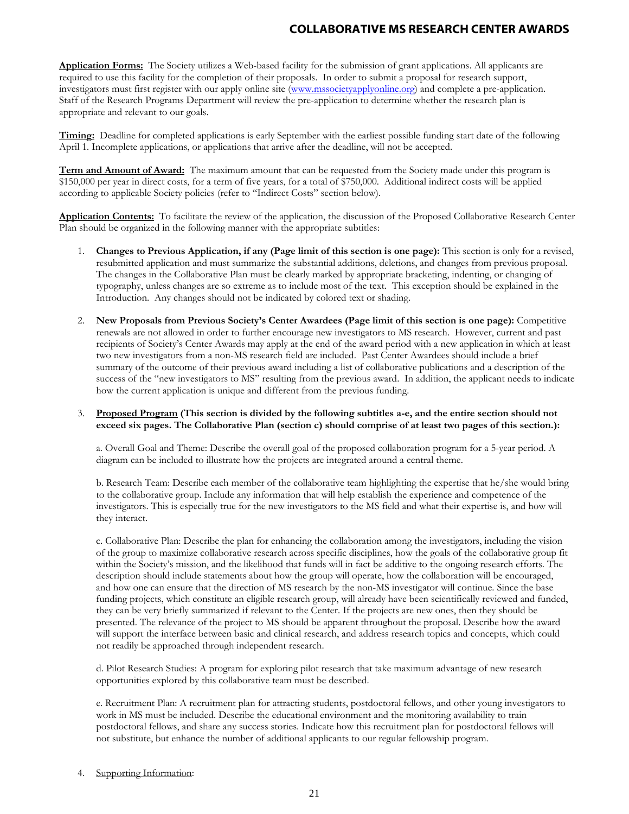**Application Forms:** The Society utilizes a Web-based facility for the submission of grant applications. All applicants are required to use this facility for the completion of their proposals. In order to submit a proposal for research support, investigators must first register with our apply online site [\(www.mssocietyapplyonline.org\)](http://www.mssocietyapplyonline.org/) and complete a pre-application. Staff of the Research Programs Department will review the pre-application to determine whether the research plan is appropriate and relevant to our goals.

**Timing:** Deadline for completed applications is early September with the earliest possible funding start date of the following April 1. Incomplete applications, or applications that arrive after the deadline, will not be accepted.

**Term and Amount of Award:** The maximum amount that can be requested from the Society made under this program is \$150,000 per year in direct costs, for a term of five years, for a total of \$750,000. Additional indirect costs will be applied according to applicable Society policies (refer to "Indirect Costs" section below).

**Application Contents:** To facilitate the review of the application, the discussion of the Proposed Collaborative Research Center Plan should be organized in the following manner with the appropriate subtitles:

- 1. **Changes to Previous Application, if any (Page limit of this section is one page):** This section is only for a revised, resubmitted application and must summarize the substantial additions, deletions, and changes from previous proposal. The changes in the Collaborative Plan must be clearly marked by appropriate bracketing, indenting, or changing of typography, unless changes are so extreme as to include most of the text. This exception should be explained in the Introduction. Any changes should not be indicated by colored text or shading.
- 2. **New Proposals from Previous Society's Center Awardees (Page limit of this section is one page):** Competitive renewals are not allowed in order to further encourage new investigators to MS research. However, current and past recipients of Society's Center Awards may apply at the end of the award period with a new application in which at least two new investigators from a non-MS research field are included. Past Center Awardees should include a brief summary of the outcome of their previous award including a list of collaborative publications and a description of the success of the "new investigators to MS" resulting from the previous award. In addition, the applicant needs to indicate how the current application is unique and different from the previous funding.

### 3. **Proposed Program (This section is divided by the following subtitles a-e, and the entire section should not exceed six pages. The Collaborative Plan (section c) should comprise of at least two pages of this section.):**

a. Overall Goal and Theme: Describe the overall goal of the proposed collaboration program for a 5-year period. A diagram can be included to illustrate how the projects are integrated around a central theme.

b. Research Team: Describe each member of the collaborative team highlighting the expertise that he/she would bring to the collaborative group. Include any information that will help establish the experience and competence of the investigators. This is especially true for the new investigators to the MS field and what their expertise is, and how will they interact.

c. Collaborative Plan: Describe the plan for enhancing the collaboration among the investigators, including the vision of the group to maximize collaborative research across specific disciplines, how the goals of the collaborative group fit within the Society's mission, and the likelihood that funds will in fact be additive to the ongoing research efforts. The description should include statements about how the group will operate, how the collaboration will be encouraged, and how one can ensure that the direction of MS research by the non-MS investigator will continue. Since the base funding projects, which constitute an eligible research group, will already have been scientifically reviewed and funded, they can be very briefly summarized if relevant to the Center. If the projects are new ones, then they should be presented. The relevance of the project to MS should be apparent throughout the proposal. Describe how the award will support the interface between basic and clinical research, and address research topics and concepts, which could not readily be approached through independent research.

d. Pilot Research Studies: A program for exploring pilot research that take maximum advantage of new research opportunities explored by this collaborative team must be described.

e. Recruitment Plan: A recruitment plan for attracting students, postdoctoral fellows, and other young investigators to work in MS must be included. Describe the educational environment and the monitoring availability to train postdoctoral fellows, and share any success stories. Indicate how this recruitment plan for postdoctoral fellows will not substitute, but enhance the number of additional applicants to our regular fellowship program.

#### 4. Supporting Information: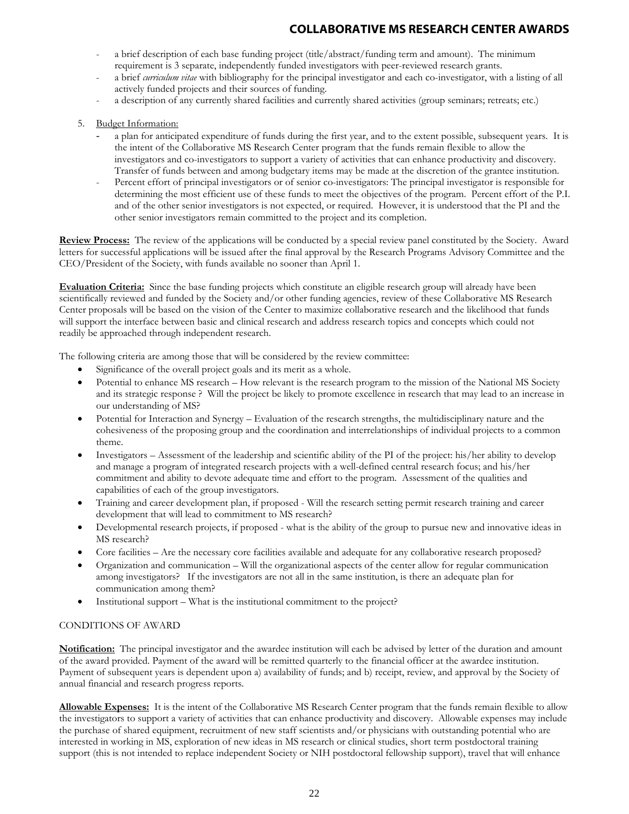- a brief description of each base funding project (title/abstract/funding term and amount). The minimum requirement is 3 separate, independently funded investigators with peer-reviewed research grants.
- a brief *curriculum vitae* with bibliography for the principal investigator and each co-investigator, with a listing of all actively funded projects and their sources of funding.
- a description of any currently shared facilities and currently shared activities (group seminars; retreats; etc.)
- 5. Budget Information:
	- a plan for anticipated expenditure of funds during the first year, and to the extent possible, subsequent years. It is the intent of the Collaborative MS Research Center program that the funds remain flexible to allow the investigators and co-investigators to support a variety of activities that can enhance productivity and discovery. Transfer of funds between and among budgetary items may be made at the discretion of the grantee institution.
	- Percent effort of principal investigators or of senior co-investigators: The principal investigator is responsible for determining the most efficient use of these funds to meet the objectives of the program. Percent effort of the P.I. and of the other senior investigators is not expected, or required. However, it is understood that the PI and the other senior investigators remain committed to the project and its completion.

**Review Process:** The review of the applications will be conducted by a special review panel constituted by the Society. Award letters for successful applications will be issued after the final approval by the Research Programs Advisory Committee and the CEO/President of the Society, with funds available no sooner than April 1.

**Evaluation Criteria:** Since the base funding projects which constitute an eligible research group will already have been scientifically reviewed and funded by the Society and/or other funding agencies, review of these Collaborative MS Research Center proposals will be based on the vision of the Center to maximize collaborative research and the likelihood that funds will support the interface between basic and clinical research and address research topics and concepts which could not readily be approached through independent research.

The following criteria are among those that will be considered by the review committee:

- Significance of the overall project goals and its merit as a whole.
- Potential to enhance MS research How relevant is the research program to the mission of the National MS Society and its strategic response ? Will the project be likely to promote excellence in research that may lead to an increase in our understanding of MS?
- Potential for Interaction and Synergy Evaluation of the research strengths, the multidisciplinary nature and the cohesiveness of the proposing group and the coordination and interrelationships of individual projects to a common theme.
- Investigators Assessment of the leadership and scientific ability of the PI of the project: his/her ability to develop and manage a program of integrated research projects with a well-defined central research focus; and his/her commitment and ability to devote adequate time and effort to the program. Assessment of the qualities and capabilities of each of the group investigators.
- Training and career development plan, if proposed Will the research setting permit research training and career development that will lead to commitment to MS research?
- Developmental research projects, if proposed what is the ability of the group to pursue new and innovative ideas in MS research?
- Core facilities Are the necessary core facilities available and adequate for any collaborative research proposed?
- Organization and communication Will the organizational aspects of the center allow for regular communication among investigators? If the investigators are not all in the same institution, is there an adequate plan for communication among them?
- Institutional support What is the institutional commitment to the project?

## CONDITIONS OF AWARD

**Notification:** The principal investigator and the awardee institution will each be advised by letter of the duration and amount of the award provided. Payment of the award will be remitted quarterly to the financial officer at the awardee institution. Payment of subsequent years is dependent upon a) availability of funds; and b) receipt, review, and approval by the Society of annual financial and research progress reports.

**Allowable Expenses:**It is the intent of the Collaborative MS Research Center program that the funds remain flexible to allow the investigators to support a variety of activities that can enhance productivity and discovery. Allowable expenses may include the purchase of shared equipment, recruitment of new staff scientists and/or physicians with outstanding potential who are interested in working in MS, exploration of new ideas in MS research or clinical studies, short term postdoctoral training support (this is not intended to replace independent Society or NIH postdoctoral fellowship support), travel that will enhance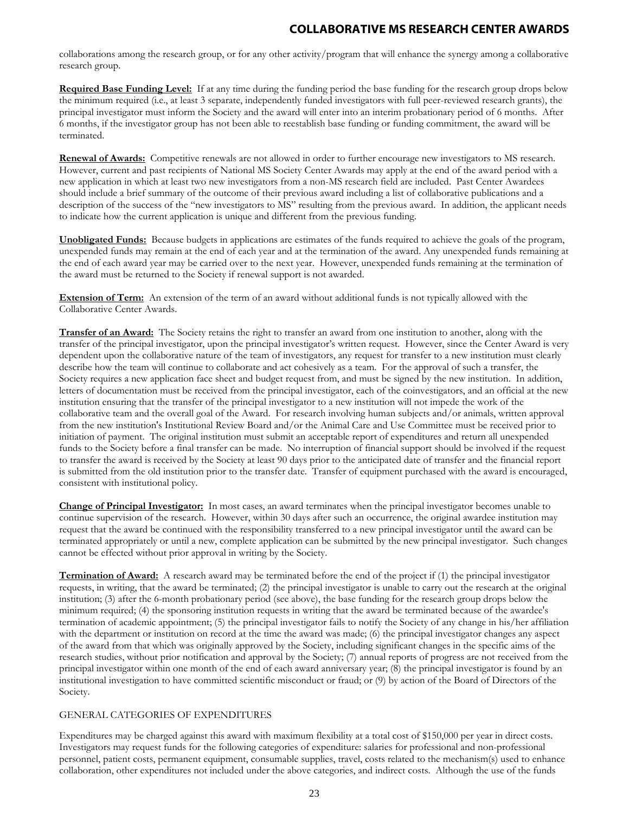collaborations among the research group, or for any other activity/program that will enhance the synergy among a collaborative research group.

**Required Base Funding Level:** If at any time during the funding period the base funding for the research group drops below the minimum required (i.e., at least 3 separate, independently funded investigators with full peer-reviewed research grants), the principal investigator must inform the Society and the award will enter into an interim probationary period of 6 months. After 6 months, if the investigator group has not been able to reestablish base funding or funding commitment, the award will be terminated.

**Renewal of Awards:** Competitive renewals are not allowed in order to further encourage new investigators to MS research. However, current and past recipients of National MS Society Center Awards may apply at the end of the award period with a new application in which at least two new investigators from a non-MS research field are included. Past Center Awardees should include a brief summary of the outcome of their previous award including a list of collaborative publications and a description of the success of the "new investigators to MS" resulting from the previous award. In addition, the applicant needs to indicate how the current application is unique and different from the previous funding.

**Unobligated Funds:** Because budgets in applications are estimates of the funds required to achieve the goals of the program, unexpended funds may remain at the end of each year and at the termination of the award. Any unexpended funds remaining at the end of each award year may be carried over to the next year. However, unexpended funds remaining at the termination of the award must be returned to the Society if renewal support is not awarded.

**Extension of Term:** An extension of the term of an award without additional funds is not typically allowed with the Collaborative Center Awards.

**Transfer of an Award:** The Society retains the right to transfer an award from one institution to another, along with the transfer of the principal investigator, upon the principal investigator's written request. However, since the Center Award is very dependent upon the collaborative nature of the team of investigators, any request for transfer to a new institution must clearly describe how the team will continue to collaborate and act cohesively as a team. For the approval of such a transfer, the Society requires a new application face sheet and budget request from, and must be signed by the new institution. In addition, letters of documentation must be received from the principal investigator, each of the coinvestigators, and an official at the new institution ensuring that the transfer of the principal investigator to a new institution will not impede the work of the collaborative team and the overall goal of the Award. For research involving human subjects and/or animals, written approval from the new institution's Institutional Review Board and/or the Animal Care and Use Committee must be received prior to initiation of payment. The original institution must submit an acceptable report of expenditures and return all unexpended funds to the Society before a final transfer can be made. No interruption of financial support should be involved if the request to transfer the award is received by the Society at least 90 days prior to the anticipated date of transfer and the financial report is submitted from the old institution prior to the transfer date. Transfer of equipment purchased with the award is encouraged, consistent with institutional policy.

**Change of Principal Investigator:** In most cases, an award terminates when the principal investigator becomes unable to continue supervision of the research. However, within 30 days after such an occurrence, the original awardee institution may request that the award be continued with the responsibility transferred to a new principal investigator until the award can be terminated appropriately or until a new, complete application can be submitted by the new principal investigator. Such changes cannot be effected without prior approval in writing by the Society.

**Termination of Award:** A research award may be terminated before the end of the project if (1) the principal investigator requests, in writing, that the award be terminated; (2) the principal investigator is unable to carry out the research at the original institution; (3) after the 6-month probationary period (see above), the base funding for the research group drops below the minimum required; (4) the sponsoring institution requests in writing that the award be terminated because of the awardee's termination of academic appointment; (5) the principal investigator fails to notify the Society of any change in his/her affiliation with the department or institution on record at the time the award was made; (6) the principal investigator changes any aspect of the award from that which was originally approved by the Society, including significant changes in the specific aims of the research studies, without prior notification and approval by the Society; (7) annual reports of progress are not received from the principal investigator within one month of the end of each award anniversary year; (8) the principal investigator is found by an institutional investigation to have committed scientific misconduct or fraud; or (9) by action of the Board of Directors of the Society.

## GENERAL CATEGORIES OF EXPENDITURES

Expenditures may be charged against this award with maximum flexibility at a total cost of \$150,000 per year in direct costs. Investigators may request funds for the following categories of expenditure: salaries for professional and non-professional personnel, patient costs, permanent equipment, consumable supplies, travel, costs related to the mechanism(s) used to enhance collaboration, other expenditures not included under the above categories, and indirect costs. Although the use of the funds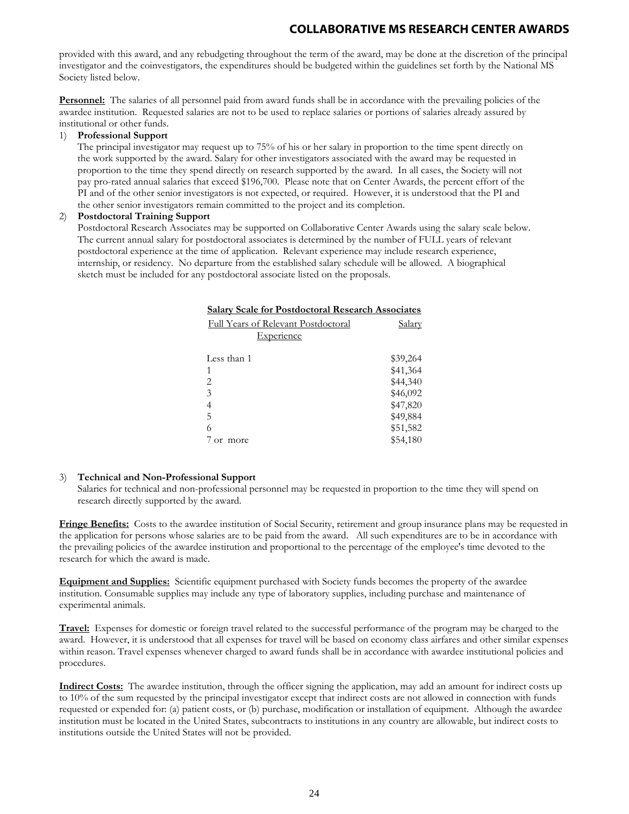provided with this award, and any rebudgeting throughout the term of the award, may be done at the discretion of the principal investigator and the coinvestigators, the expenditures should be budgeted within the guidelines set forth by the National MS Society listed below.

**Personnel:** The salaries of all personnel paid from award funds shall be in accordance with the prevailing policies of the awardee institution. Requested salaries are not to be used to replace salaries or portions of salaries already assured by institutional or other funds.

#### 1) **Professional Support**

The principal investigator may request up to 75% of his or her salary in proportion to the time spent directly on the work supported by the award. Salary for other investigators associated with the award may be requested in proportion to the time they spend directly on research supported by the award. In all cases, the Society will not pay pro-rated annual salaries that exceed \$196,700. Please note that on Center Awards, the percent effort of the PI and of the other senior investigators is not expected, or required. However, it is understood that the PI and the other senior investigators remain committed to the project and its completion.

### 2) **Postdoctoral Training Support**

Postdoctoral Research Associates may be supported on Collaborative Center Awards using the salary scale below. The current annual salary for postdoctoral associates is determined by the number of FULL years of relevant postdoctoral experience at the time of application. Relevant experience may include research experience, internship, or residency. No departure from the established salary schedule will be allowed. A biographical sketch must be included for any postdoctoral associate listed on the proposals.

| <b>Salary Scale for Postdoctoral Research Associates</b> |          |
|----------------------------------------------------------|----------|
| <b>Full Years of Relevant Postdoctoral</b>               | Salary   |
| <u>Experience</u>                                        |          |
|                                                          |          |
| Less than 1                                              | \$39,264 |
| 1                                                        | \$41,364 |
| $\mathfrak{D}$                                           | \$44,340 |
| 3                                                        | \$46,092 |
|                                                          | \$47,820 |
| 5                                                        | \$49,884 |
| 6                                                        | \$51,582 |
| $7 \text{ or}$<br>more                                   | \$54,180 |

## 3) **Technical and Non-Professional Support**

Salaries for technical and non-professional personnel may be requested in proportion to the time they will spend on research directly supported by the award.

**Fringe Benefits:** Costs to the awardee institution of Social Security, retirement and group insurance plans may be requested in the application for persons whose salaries are to be paid from the award. All such expenditures are to be in accordance with the prevailing policies of the awardee institution and proportional to the percentage of the employee's time devoted to the research for which the award is made.

**Equipment and Supplies:** Scientific equipment purchased with Society funds becomes the property of the awardee institution. Consumable supplies may include any type of laboratory supplies, including purchase and maintenance of experimental animals.

**Travel:** Expenses for domestic or foreign travel related to the successful performance of the program may be charged to the award. However, it is understood that all expenses for travel will be based on economy class airfares and other similar expenses within reason. Travel expenses whenever charged to award funds shall be in accordance with awardee institutional policies and procedures.

**Indirect Costs:** The awardee institution, through the officer signing the application, may add an amount for indirect costs up to 10% of the sum requested by the principal investigator except that indirect costs are not allowed in connection with funds requested or expended for: (a) patient costs, or (b) purchase, modification or installation of equipment. Although the awardee institution must be located in the United States, subcontracts to institutions in any country are allowable, but indirect costs to institutions outside the United States will not be provided.